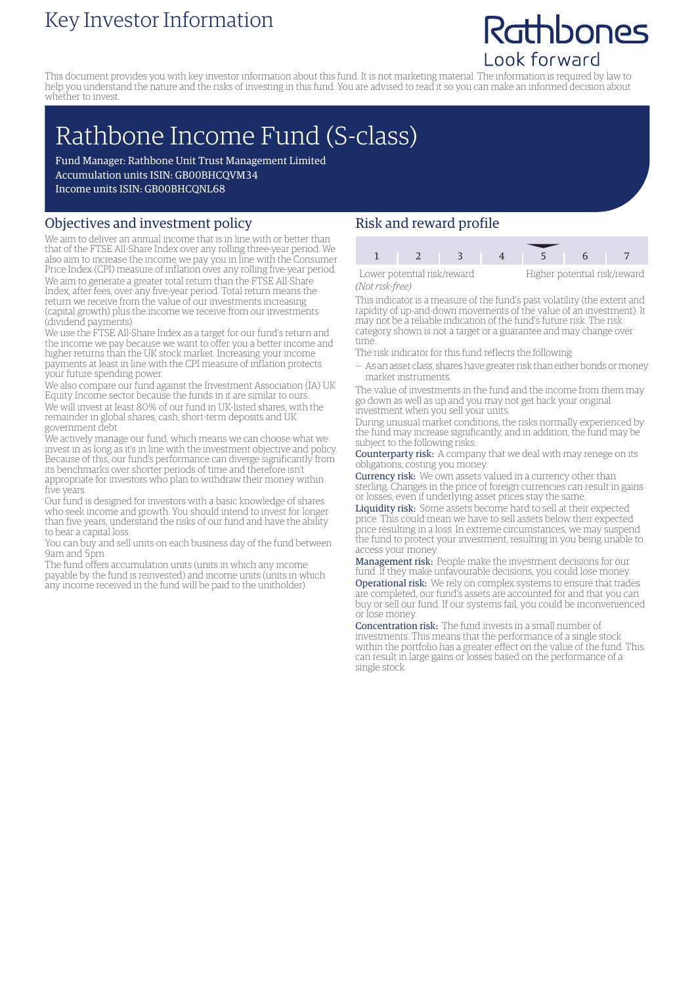### Key Investor Information

## Rathbones Look forward

This document provides you with key investor information about this fund. It is not marketing material. The information is required by law to help you understand the nature and the risks of investing in this fund. You are advised to read it so you can make an informed decision about whether to invest.

# Rathbone Income Fund (S-class)

Fund Manager: Rathbone Unit Trust Management Limited Accumulation units ISIN: GB00BHCQVM34 Income units ISIN: GB00BHCQNL68

#### Objectives and investment policy

We aim to deliver an annual income that is in line with or better than that of the FTSE All-Share Index over any rolling three-year period. We also aim to increase the income we pay you in line with the Consumer Price Index (CPI) measure of inflation over any rolling five-year period. We aim to generate a greater total return than the FTSE All-Share Index, after fees, over any five-year period. Total return means the return we receive from the value of our investments increasing (capital growth) plus the income we receive from our investments (dividend payments).

We use the FTSE All-Share Index as a target for our fund's return and the income we pay because we want to offer you a better income and higher returns than the UK stock market. Increasing your income payments at least in line with the CPI measure of inflation protects your future spending power.

We also compare our fund against the Investment Association (IA) UK Equity Income sector because the funds in it are similar to ours. We will invest at least 80% of our fund in UK-listed shares, with the remainder in global shares, cash, short-term deposits and UK government debt.

We actively manage our fund, which means we can choose what we invest in as long as it's in line with the investment objective and policy. Because of this, our fund's performance can diverge significantly from its benchmarks over shorter periods of time and therefore isn't appropriate for investors who plan to withdraw their money within five years.

Our fund is designed for investors with a basic knowledge of shares who seek income and growth. You should intend to invest for longer than five years, understand the risks of our fund and have the ability to bear a capital loss.

You can buy and sell units on each business day of the fund between 9am and 5pm.

The fund offers accumulation units (units in which any income payable by the fund is reinvested) and income units (units in which any income received in the fund will be paid to the unitholder).

#### Risk and reward profile

| Lower potential risk/reward |  |  | Higher potential risk/reward |  |  |  |
|-----------------------------|--|--|------------------------------|--|--|--|

*(Not risk-free)*

This indicator is a measure of the fund's past volatility (the extent and rapidity of up-and-down movements of the value of an investment). It may not be a reliable indication of the fund's future risk. The risk category shown is not a target or a guarantee and may change over

time. The risk indicator for this fund reflects the following:

— As an asset class, shares have greater risk than either bonds ormoney market instruments.

The value of investments in the fund and the income from them may go down as well as up and you may not get back your original investment when you sell your units.

During unusual market conditions, the risks normally experienced by the fund may increase significantly, and in addition, the fund may be subject to the following risks:

Counterparty risk: A company that we deal with may renege on its obligations, costing you money.

Currency risk: We own assets valued in a currency other than sterling. Changes in the price of foreign currencies can result in gains or losses, even if underlying asset prices stay the same.

Liquidity risk: Some assets become hard to sell at their expected price. This could mean we have to sell assets below their expected price resulting in a loss. In extreme circumstances, we may suspend the fund to protect your investment, resulting in you being unable to access your money.

Management risk: People make the investment decisions for our fund. If they make unfavourable decisions, you could lose money. Operational risk: We rely on complex systems to ensure that trades are completed, our fund's assets are accounted for and that you can buy or sell our fund. If our systems fail, you could be inconvenienced or lose money.

Concentration risk: The fund invests in a small number of investments. This means that the performance of a single stock within the portfolio has a greater effect on the value of the fund. This can result in large gains or losses based on the performance of a single stock.